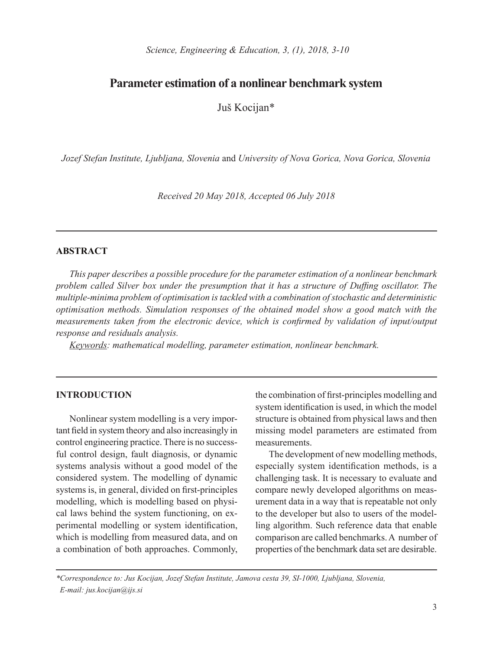# **Parameter estimation of a nonlinear benchmark system**

Juš Kocijan\*

*Jozef Stefan Institute, Ljubljana, Slovenia* and *University of Nova Gorica, Nova Gorica, Slovenia*

*Received 20 May 2018, Accepted 06 July 2018*

### **ABSTRACT**

*This paper describes a possible procedure for the parameter estimation of a nonlinear benchmark problem called Silver box under the presumption that it has a structure of Duffing oscillator. The multiple-minima problem of optimisation is tackled with a combination of stochastic and deterministic optimisation methods. Simulation responses of the obtained model show a good match with the measurements taken from the electronic device, which is confirmed by validation of input/output response and residuals analysis.*

*Keywords: mathematical modelling, parameter estimation, nonlinear benchmark.*

### **INTRODUCTION**

Nonlinear system modelling is a very important field in system theory and also increasingly in control engineering practice. There is no successful control design, fault diagnosis, or dynamic systems analysis without a good model of the considered system. The modelling of dynamic systems is, in general, divided on first-principles modelling, which is modelling based on physical laws behind the system functioning, on experimental modelling or system identification, which is modelling from measured data, and on a combination of both approaches. Commonly,

the combination of first-principles modelling and system identification is used, in which the model structure is obtained from physical laws and then missing model parameters are estimated from measurements.

The development of new modelling methods, especially system identification methods, is a challenging task. It is necessary to evaluate and compare newly developed algorithms on measurement data in a way that is repeatable not only to the developer but also to users of the modelling algorithm. Such reference data that enable comparison are called benchmarks. A number of properties of the benchmark data set are desirable.

*\*Correspondence to: Jus Kocijan, Jozef Stefan Institute, Jamova cesta 39, SI-1000, Ljubljana, Slovenia, E-mail: jus.kocijan@ijs.si*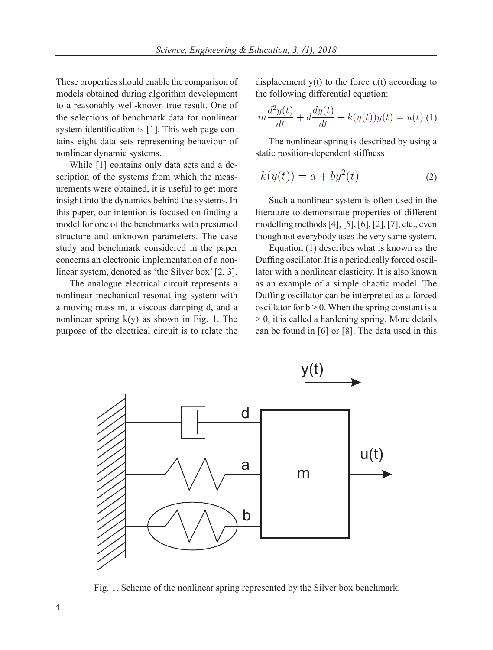These properties should enable the comparison of models obtained during algorithm development to a reasonably well-known true result. One of the selections of benchmark data for nonlinear system identification is [1]. This web page contains eight data sets representing behaviour of nonlinear dynamic systems.

While [1] contains only data sets and a description of the systems from which the measurements were obtained, it is useful to get more insight into the dynamics behind the systems. In this paper, our intention is focused on finding a model for one of the benchmarks with presumed structure and unknown parameters. The case study and benchmark considered in the paper concerns an electronic implementation of a nonlinear system, denoted as 'the Silver box' [2, 3].

The analogue electrical circuit represents a nonlinear mechanical resonat ing system with a moving mass m, a viscous damping d, and a nonlinear spring  $k(y)$  as shown in Fig. 1. The purpose of the electrical circuit is to relate the displacement  $y(t)$  to the force  $u(t)$  according to the following differential equation:

$$
m\frac{d^2y(t)}{dt} + d\frac{dy(t)}{dt} + k(y(t))y(t) = u(t)
$$
 (1)

The nonlinear spring is described by using a static position-dependent stiffness

$$
k(y(t)) = a + by2(t)
$$
 (2)

Such a nonlinear system is often used in the literature to demonstrate properties of different modelling methods [4], [5], [6], [2], [7], etc., even though not everybody uses the very same system.

Equation (1) describes what is known as the Duffing oscillator. It is a periodically forced oscillator with a nonlinear elasticity. It is also known as an example of a simple chaotic model. The Duffing oscillator can be interpreted as a forced oscillator for  $b > 0$ . When the spring constant is a  $> 0$ , it is called a hardening spring. More details can be found in [6] or [8]. The data used in this



Fig. 1. Scheme of the nonlinear spring represented by the Silver box benchmark.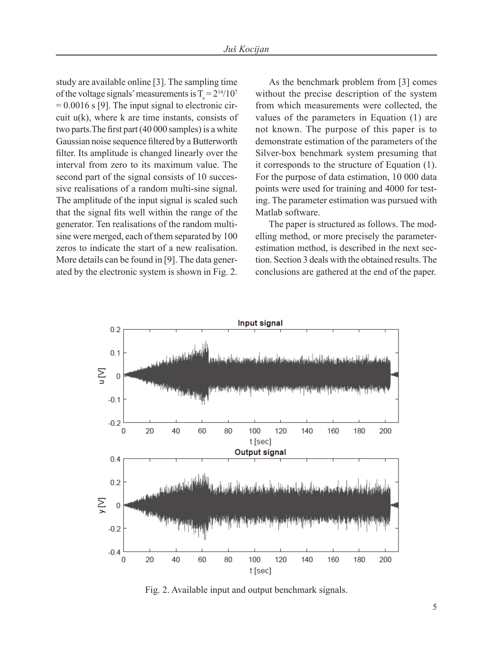study are available online [3]. The sampling time of the voltage signals' measurements is  $T_s = 2^{14}/10^7$  $= 0.0016$  s [9]. The input signal to electronic circuit  $u(k)$ , where k are time instants, consists of two parts.The first part (40 000 samples) is a white Gaussian noise sequence filtered by a Butterworth filter. Its amplitude is changed linearly over the interval from zero to its maximum value. The second part of the signal consists of 10 successive realisations of a random multi-sine signal. The amplitude of the input signal is scaled such that the signal fits well within the range of the generator. Ten realisations of the random multisine were merged, each of them separated by 100 zeros to indicate the start of a new realisation. More details can be found in [9]. The data generated by the electronic system is shown in Fig. 2.

As the benchmark problem from [3] comes without the precise description of the system from which measurements were collected, the values of the parameters in Equation (1) are not known. The purpose of this paper is to demonstrate estimation of the parameters of the Silver-box benchmark system presuming that it corresponds to the structure of Equation (1). For the purpose of data estimation, 10 000 data points were used for training and 4000 for testing. The parameter estimation was pursued with Matlab software.

The paper is structured as follows. The modelling method, or more precisely the parameterestimation method, is described in the next section. Section 3 deals with the obtained results. The conclusions are gathered at the end of the paper.



Fig. 2. Available input and output benchmark signals.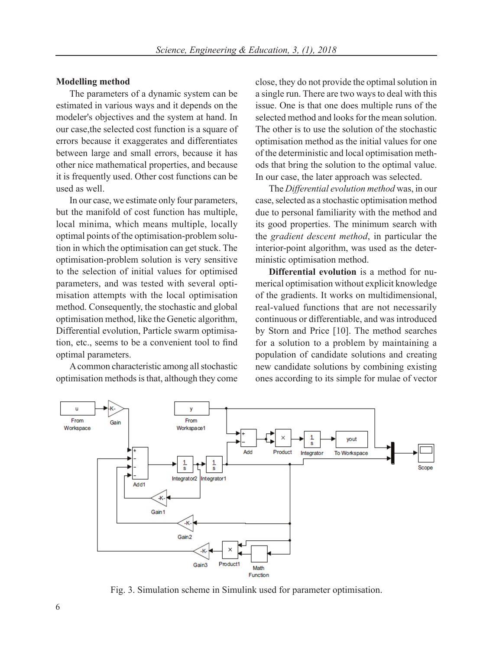### **Modelling method**

The parameters of a dynamic system can be estimated in various ways and it depends on the modeler's objectives and the system at hand. In our case,the selected cost function is a square of errors because it exaggerates and differentiates between large and small errors, because it has other nice mathematical properties, and because it is frequently used. Other cost functions can be used as well.

In our case, we estimate only four parameters, but the manifold of cost function has multiple, local minima, which means multiple, locally optimal points of the optimisation-problem solution in which the optimisation can get stuck. The optimisation-problem solution is very sensitive to the selection of initial values for optimised parameters, and was tested with several optimisation attempts with the local optimisation method. Consequently, the stochastic and global optimisation method, like the Genetic algorithm, Differential evolution, Particle swarm optimisation, etc., seems to be a convenient tool to find optimal parameters.

A common characteristic among all stochastic optimisation methods is that, although they come close, they do not provide the optimal solution in a single run. There are two ways to deal with this issue. One is that one does multiple runs of the selected method and looks for the mean solution. The other is to use the solution of the stochastic optimisation method as the initial values for one of the deterministic and local optimisation methods that bring the solution to the optimal value. In our case, the later approach was selected.

The *Differential evolution method* was, in our case, selected as a stochastic optimisation method due to personal familiarity with the method and its good properties. The minimum search with the *gradient descent method*, in particular the interior-point algorithm, was used as the deterministic optimisation method.

**Differential evolution** is a method for numerical optimisation without explicit knowledge of the gradients. It works on multidimensional, real-valued functions that are not necessarily continuous or differentiable, and was introduced by Storn and Price [10]. The method searches for a solution to a problem by maintaining a population of candidate solutions and creating new candidate solutions by combining existing ones according to its simple for mulae of vector



Fig. 3. Simulation scheme in Simulink used for parameter optimisation.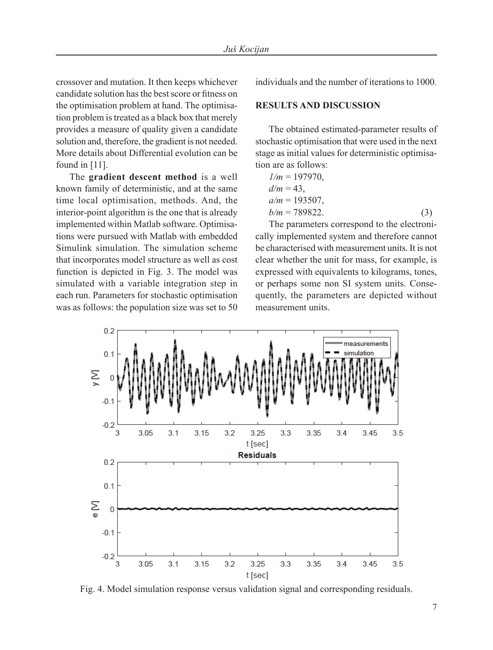crossover and mutation. It then keeps whichever candidate solution has the best score or fitness on the optimisation problem at hand. The optimisation problem is treated as a black box that merely provides a measure of quality given a candidate solution and, therefore, the gradient is not needed. More details about Differential evolution can be found in [11].

The **gradient descent method** is a well known family of deterministic, and at the same time local optimisation, methods. And, the interior-point algorithm is the one that is already implemented within Matlab software. Optimisations were pursued with Matlab with embedded Simulink simulation. The simulation scheme that incorporates model structure as well as cost function is depicted in Fig. 3. The model was simulated with a variable integration step in each run. Parameters for stochastic optimisation was as follows: the population size was set to 50

individuals and the number of iterations to 1000.

## **RESULTS AND DISCUSSION**

The obtained estimated-parameter results of stochastic optimisation that were used in the next stage as initial values for deterministic optimisation are as follows:

$$
l/m = 197970,
$$
  
\n
$$
d/m = 43,
$$
  
\n
$$
a/m = 193507,
$$
  
\n
$$
b/m = 789822.
$$
 (3)

The parameters correspond to the electronically implemented system and therefore cannot be characterised with measurement units. It is not clear whether the unit for mass, for example, is expressed with equivalents to kilograms, tones, or perhaps some non SI system units. Consequently, the parameters are depicted without measurement units.



Fig. 4. Model simulation response versus validation signal and corresponding residuals.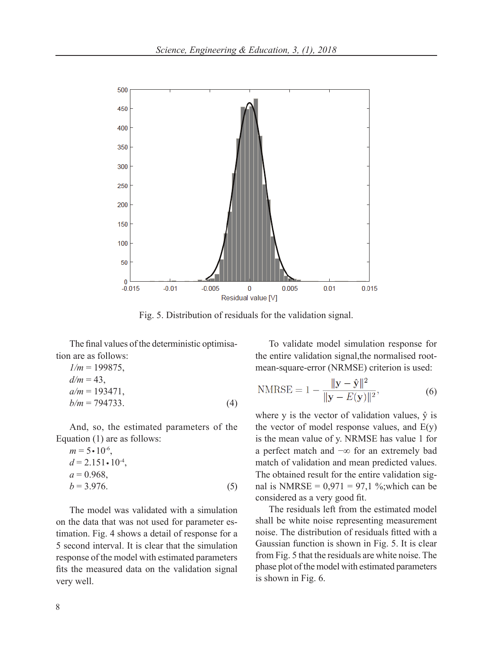

Fig. 5. Distribution of residuals for the validation signal.

The final values of the deterministic optimisation are as follows:

$$
1/m = 199875,\n d/m = 43,\n a/m = 193471,\n b/m = 794733.
$$
\n(4)

And, so, the estimated parameters of the

Equation (1) are as follows:  
\n
$$
m = 5 \cdot 10^{-6}
$$
,  
\n $d = 2.151 \cdot 10^{-4}$ ,  
\n $a = 0.968$ ,  
\n $b = 3.976$ . (5)

The model was validated with a simulation on the data that was not used for parameter estimation. Fig. 4 shows a detail of response for a 5 second interval. It is clear that the simulation response of the model with estimated parameters fits the measured data on the validation signal very well.

To validate model simulation response for the entire validation signal,the normalised rootmean-square-error (NRMSE) criterion is used:

$$
\text{NMRSE} = 1 - \frac{\|\mathbf{y} - \hat{\mathbf{y}}\|^2}{\|\mathbf{y} - E(\mathbf{y})\|^2},\tag{6}
$$

where y is the vector of validation values,  $\hat{y}$  is the vector of model response values, and  $E(y)$ is the mean value of y. NRMSE has value 1 for a perfect match and −∞ for an extremely bad match of validation and mean predicted values. The obtained result for the entire validation signal is NMRSE =  $0.971 = 97.1$  %; which can be considered as a very good fit.

The residuals left from the estimated model shall be white noise representing measurement noise. The distribution of residuals fitted with a Gaussian function is shown in Fig. 5. It is clear from Fig. 5 that the residuals are white noise. The phase plot of the model with estimated parameters is shown in Fig. 6.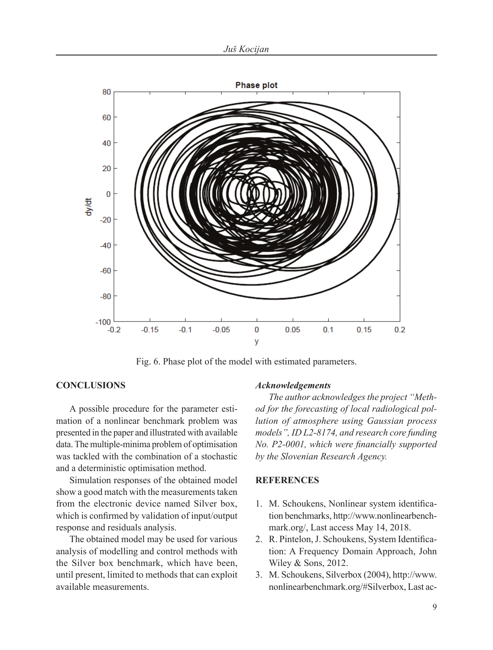

Fig. 6. Phase plot of the model with estimated parameters.

### **CONCLUSIONS**

A possible procedure for the parameter estimation of a nonlinear benchmark problem was presented in the paper and illustrated with available data. The multiple-minima problem of optimisation was tackled with the combination of a stochastic and a deterministic optimisation method.

Simulation responses of the obtained model show a good match with the measurements taken from the electronic device named Silver box, which is confirmed by validation of input/output response and residuals analysis.

The obtained model may be used for various analysis of modelling and control methods with the Silver box benchmark, which have been, until present, limited to methods that can exploit available measurements.

#### *Acknowledgements*

*The author acknowledges the project "Method for the forecasting of local radiological pollution of atmosphere using Gaussian process models", ID L2-8174, and research core funding No. P2-0001, which were financially supported by the Slovenian Research Agency.*

### **REFERENCES**

- 1. M. Schoukens, Nonlinear system identification benchmarks, http://www.nonlinearbenchmark.org/, Last access May 14, 2018.
- 2. R. Pintelon, J. Schoukens, System Identification: A Frequency Domain Approach, John Wiley & Sons, 2012.
- 3. M. Schoukens, Silverbox (2004), http://www. nonlinearbenchmark.org/#Silverbox, Last ac-